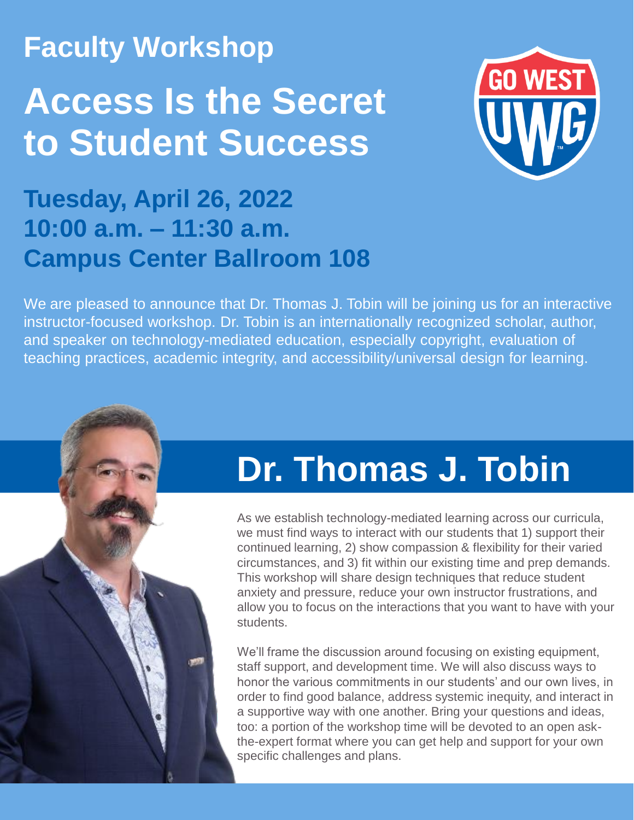## **Faculty Workshop**

## **Access Is the Secret to Student Success**



### **Tuesday, April 26, 2022 10:00 a.m. – 11:30 a.m. Campus Center Ballroom 108**

We are pleased to announce that Dr. Thomas J. Tobin will be joining us for an interactive instructor-focused workshop. Dr. Tobin is an internationally recognized scholar, author, and speaker on technology-mediated education, especially copyright, evaluation of teaching practices, academic integrity, and accessibility/universal design for learning.

## **Dr. Thomas J. Tobin**

As we establish technology-mediated learning across our curricula, we must find ways to interact with our students that 1) support their continued learning, 2) show compassion & flexibility for their varied circumstances, and 3) fit within our existing time and prep demands. This workshop will share design techniques that reduce student anxiety and pressure, reduce your own instructor frustrations, and allow you to focus on the interactions that you want to have with your students.

We'll frame the discussion around focusing on existing equipment, staff support, and development time. We will also discuss ways to honor the various commitments in our students' and our own lives, in order to find good balance, address systemic inequity, and interact in a supportive way with one another. Bring your questions and ideas, too: a portion of the workshop time will be devoted to an open askthe-expert format where you can get help and support for your own specific challenges and plans.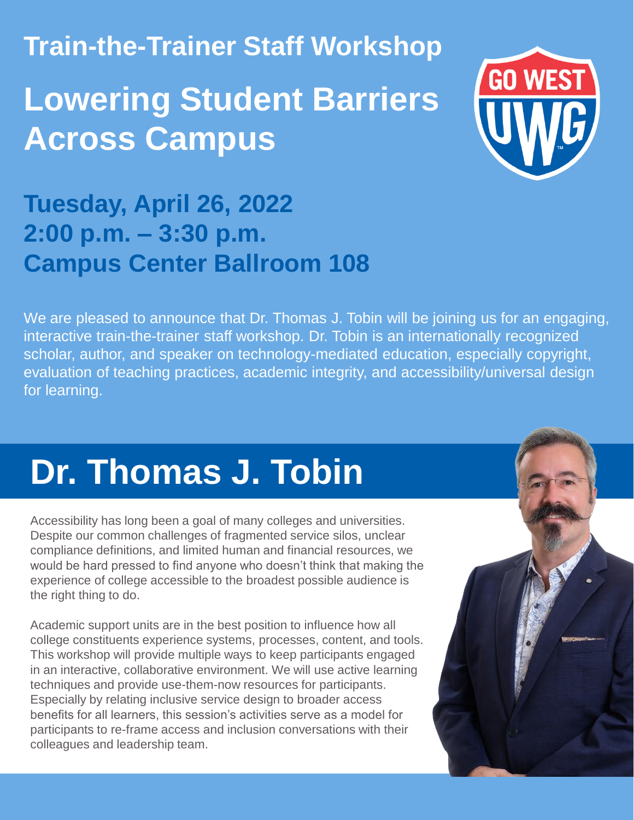**Train-the-Trainer Staff Workshop**

## **Lowering Student Barriers Across Campus**



#### **Tuesday, April 26, 2022 2:00 p.m. – 3:30 p.m. Campus Center Ballroom 108**

We are pleased to announce that Dr. Thomas J. Tobin will be joining us for an engaging, interactive train-the-trainer staff workshop. Dr. Tobin is an internationally recognized scholar, author, and speaker on technology-mediated education, especially copyright, evaluation of teaching practices, academic integrity, and accessibility/universal design for learning.

# **Dr. Thomas J. Tobin**

Accessibility has long been a goal of many colleges and universities. Despite our common challenges of fragmented service silos, unclear compliance definitions, and limited human and financial resources, we would be hard pressed to find anyone who doesn't think that making the experience of college accessible to the broadest possible audience is the right thing to do.

Academic support units are in the best position to influence how all college constituents experience systems, processes, content, and tools. This workshop will provide multiple ways to keep participants engaged in an interactive, collaborative environment. We will use active learning techniques and provide use-them-now resources for participants. Especially by relating inclusive service design to broader access benefits for all learners, this session's activities serve as a model for participants to re-frame access and inclusion conversations with their colleagues and leadership team.